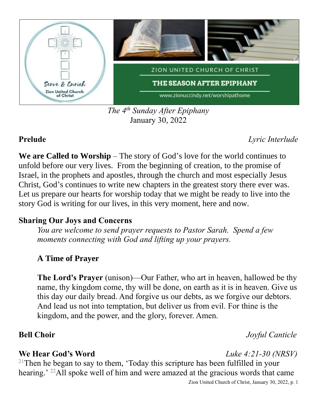

*The 4 th Sunday After Epiphany* January 30, 2022

**Prelude** *Lyric Interlude*

**We are Called to Worship** – The story of God's love for the world continues to unfold before our very lives. From the beginning of creation, to the promise of Israel, in the prophets and apostles, through the church and most especially Jesus Christ, God's continues to write new chapters in the greatest story there ever was. Let us prepare our hearts for worship today that we might be ready to live into the story God is writing for our lives, in this very moment, here and now.

### **Sharing Our Joys and Concerns**

*You are welcome to send prayer requests to Pastor Sarah. Spend a few moments connecting with God and lifting up your prayers.*

# **A Time of Prayer**

**The Lord's Prayer** (unison)—Our Father, who art in heaven, hallowed be thy name, thy kingdom come, thy will be done, on earth as it is in heaven. Give us this day our daily bread. And forgive us our debts, as we forgive our debtors. And lead us not into temptation, but deliver us from evil. For thine is the kingdom, and the power, and the glory, forever. Amen.

**Bell Choir** *Joyful Canticle*

### **We Hear God's Word** *Luke 4:21-30 (NRSV)*

<sup>21</sup>Then he began to say to them, 'Today this scripture has been fulfilled in your hearing.' <sup>22</sup>All spoke well of him and were amazed at the gracious words that came

Zion United Church of Christ, January 30, 2022, p. 1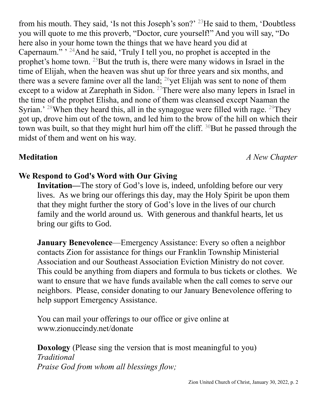from his mouth. They said, 'Is not this Joseph's son?' <sup>23</sup>He said to them, 'Doubtless you will quote to me this proverb, "Doctor, cure yourself!" And you will say, "Do here also in your home town the things that we have heard you did at Capernaum."  $24$ And he said, 'Truly I tell you, no prophet is accepted in the prophet's home town. <sup>25</sup>But the truth is, there were many widows in Israel in the time of Elijah, when the heaven was shut up for three years and six months, and there was a severe famine over all the land;  $^{26}$ yet Elijah was sent to none of them except to a widow at Zarephath in Sidon. <sup>27</sup>There were also many lepers in Israel in the time of the prophet Elisha, and none of them was cleansed except Naaman the Syrian.' <sup>28</sup>When they heard this, all in the synagogue were filled with rage. <sup>29</sup>They got up, drove him out of the town, and led him to the brow of the hill on which their town was built, so that they might hurl him off the cliff.  $30$ But he passed through the midst of them and went on his way.

**Meditation** *A New Chapter*

## **We Respond to God's Word with Our Giving**

**Invitation—**The story of God's love is, indeed, unfolding before our very lives. As we bring our offerings this day, may the Holy Spirit be upon them that they might further the story of God's love in the lives of our church family and the world around us. With generous and thankful hearts, let us bring our gifts to God.

**January Benevolence**—Emergency Assistance: Every so often a neighbor contacts Zion for assistance for things our Franklin Township Ministerial Association and our Southeast Association Eviction Ministry do not cover. This could be anything from diapers and formula to bus tickets or clothes. We want to ensure that we have funds available when the call comes to serve our neighbors. Please, consider donating to our January Benevolence offering to help support Emergency Assistance.

You can mail your offerings to our office or give online at www.zionuccindy.net/donate

**Doxology** (Please sing the version that is most meaningful to you) *Traditional Praise God from whom all blessings flow;*